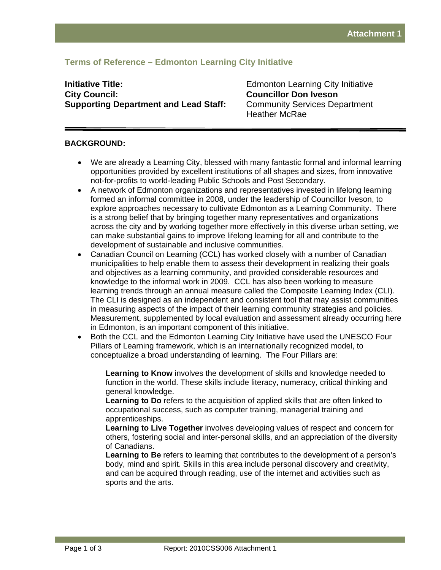# **Terms of Reference – Edmonton Learning City Initiative**

# **Initiative Title: Initiative Title: Edmonton Learning City Initiative City Council: Councillor Don Iveson Supporting Department and Lead Staff:** Community Services Department

Heather McRae

## **BACKGROUND:**

- We are already a Learning City, blessed with many fantastic formal and informal learning opportunities provided by excellent institutions of all shapes and sizes, from innovative not-for-profits to world-leading Public Schools and Post Secondary.
- A network of Edmonton organizations and representatives invested in lifelong learning formed an informal committee in 2008, under the leadership of Councillor Iveson, to explore approaches necessary to cultivate Edmonton as a Learning Community. There is a strong belief that by bringing together many representatives and organizations across the city and by working together more effectively in this diverse urban setting, we can make substantial gains to improve lifelong learning for all and contribute to the development of sustainable and inclusive communities.
- Canadian Council on Learning (CCL) has worked closely with a number of Canadian municipalities to help enable them to assess their development in realizing their goals and objectives as a learning community, and provided considerable resources and knowledge to the informal work in 2009. CCL has also been working to measure learning trends through an annual measure called the Composite Learning Index (CLI). The CLI is designed as an independent and consistent tool that may assist communities in measuring aspects of the impact of their learning community strategies and policies. Measurement, supplemented by local evaluation and assessment already occurring here in Edmonton, is an important component of this initiative.
- Both the CCL and the Edmonton Learning City Initiative have used the UNESCO Four Pillars of Learning framework, which is an internationally recognized model, to conceptualize a broad understanding of learning. The Four Pillars are:

**Learning to Know** involves the development of skills and knowledge needed to function in the world. These skills include literacy, numeracy, critical thinking and general knowledge.

**Learning to Do** refers to the acquisition of applied skills that are often linked to occupational success, such as computer training, managerial training and apprenticeships.

**Learning to Live Together** involves developing values of respect and concern for others, fostering social and inter-personal skills, and an appreciation of the diversity of Canadians.

**Learning to Be** refers to learning that contributes to the development of a person's body, mind and spirit. Skills in this area include personal discovery and creativity, and can be acquired through reading, use of the internet and activities such as sports and the arts.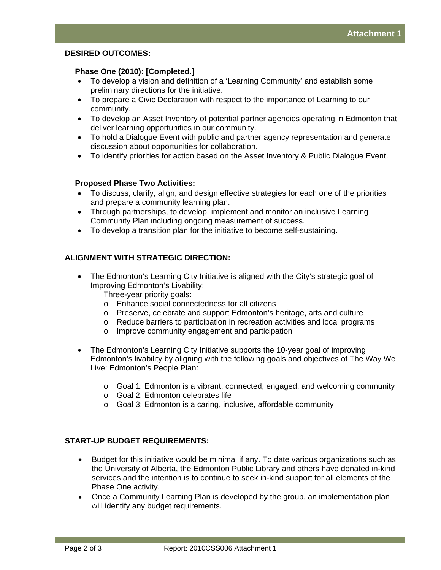#### **DESIRED OUTCOMES:**

#### **Phase One (2010): [Completed.]**

- To develop a vision and definition of a 'Learning Community' and establish some preliminary directions for the initiative.
- To prepare a Civic Declaration with respect to the importance of Learning to our community.
- To develop an Asset Inventory of potential partner agencies operating in Edmonton that deliver learning opportunities in our community.
- To hold a Dialogue Event with public and partner agency representation and generate discussion about opportunities for collaboration.
- To identify priorities for action based on the Asset Inventory & Public Dialogue Event.

### **Proposed Phase Two Activities:**

- To discuss, clarify, align, and design effective strategies for each one of the priorities and prepare a community learning plan.
- Through partnerships, to develop, implement and monitor an inclusive Learning Community Plan including ongoing measurement of success.
- To develop a transition plan for the initiative to become self-sustaining.

## **ALIGNMENT WITH STRATEGIC DIRECTION:**

- The Edmonton's Learning City Initiative is aligned with the City's strategic goal of Improving Edmonton's Livability:
	- Three-year priority goals:
	- o Enhance social connectedness for all citizens
	- o Preserve, celebrate and support Edmonton's heritage, arts and culture
	- o Reduce barriers to participation in recreation activities and local programs
	- o Improve community engagement and participation
- The Edmonton's Learning City Initiative supports the 10-year goal of improving Edmonton's livability by aligning with the following goals and objectives of The Way We Live: Edmonton's People Plan:
	- $\circ$  Goal 1: Edmonton is a vibrant, connected, engaged, and welcoming community
	- o Goal 2: Edmonton celebrates life
	- o Goal 3: Edmonton is a caring, inclusive, affordable community

## **START-UP BUDGET REQUIREMENTS:**

- Budget for this initiative would be minimal if any. To date various organizations such as the University of Alberta, the Edmonton Public Library and others have donated in-kind services and the intention is to continue to seek in-kind support for all elements of the Phase One activity.
- Once a Community Learning Plan is developed by the group, an implementation plan will identify any budget requirements.